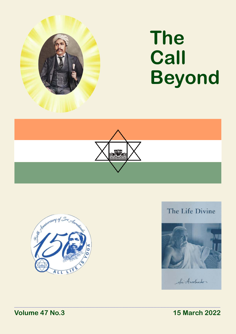

# **The** Call **Beyond**





The Life Divine





Volume 47 No.3

**15 March 2022**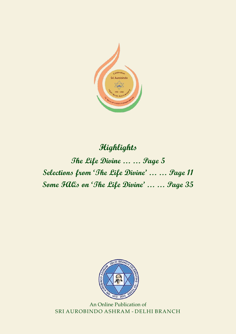

**Highlights**

**The Life Divine … … Page 5 Selections from 'The Life Divine' … … Page 11 Some FAQs on 'The Life Divine' … … Page 35**



An Online Publication of SRI AUROBINDO ASHRAM - DELHI BRANCH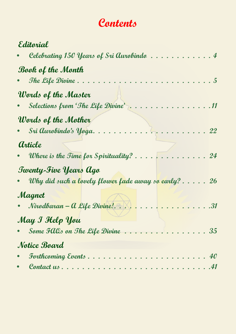# Contents

|           | Editorial                                           |                |
|-----------|-----------------------------------------------------|----------------|
|           | Celebrating 150 Years of Sri Aurobindo              |                |
|           | Book of the Month                                   |                |
|           | The Life Divine                                     | $\overline{5}$ |
|           | Words of the Master                                 |                |
|           | Selections from 'The Life Divine'                   | 11             |
|           | Words of the Mother                                 |                |
|           | Sri Aurobindo's Yoga.                               | 22             |
|           | article                                             |                |
|           | Where is the Time for Spirituality? $\ldots$        | 24             |
|           | Twenty-Five Years ago                               |                |
|           | Why did such a lovely flower fade away so early? 26 |                |
|           | Magnet<br>Nirodbaran – A Life Divine!.              | 31             |
|           | May I Help You                                      |                |
|           | • Some FAQs on The Life Divine  35                  |                |
|           | Notice Board                                        |                |
| $\bullet$ | Forthcoming Events 40                               |                |
| $\bullet$ |                                                     |                |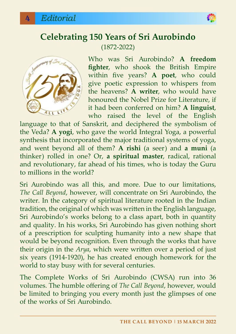

### **Celebrating 150 Years of Sri Aurobindo** (1872-2022)



Who was Sri Aurobindo? **a freedom fighter**, who shook the British Empire within five years? **a poet**, who could give poetic expression to whispers from the heavens? **a writer**, who would have honoured the Nobel Prize for Literature, if it had been conferred on him? **a linguist**, who raised the level of the English

language to that of Sanskrit, and deciphered the symbolism of the Veda? **a yogi**, who gave the world Integral Yoga, a powerful synthesis that incorporated the major traditional systems of yoga, and went beyond all of them? **A rishi** (a seer) and **a muni** (a thinker) rolled in one? Or, **a spiritual master**, radical, rational and revolutionary, far ahead of his times, who is today the Guru to millions in the world?

Sri Aurobindo was all this, and more. Due to our limitations, *The Call Beyond*, however, will concentrate on Sri Aurobindo, the writer. In the category of spiritual literature rooted in the Indian tradition, the original of which was written in the English language, Sri Aurobindo's works belong to a class apart, both in quantity and quality. In his works, Sri Aurobindo has given nothing short of a prescription for sculpting humanity into a new shape that would be beyond recognition. Even through the works that have their origin in the *Arya*, which were written over a period of just six years (1914-1920), he has created enough homework for the world to stay busy with for several centuries.

The Complete Works of Sri Aurobindo (CWSA) run into 36 volumes. The humble offering of *The Call Beyond*, however, would be limited to bringing you every month just the glimpses of one of the works of Sri Aurobindo.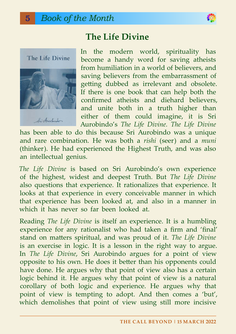



# **The Life Divine**

In the modern world, spirituality has become a handy word for saving atheists from humiliation in a world of believers, and saving believers from the embarrassment of getting dubbed as irrelevant and obsolete. If there is one book that can help both the confirmed atheists and diehard believers, and unite both in a truth higher than either of them could imagine, it is Sri Aurobindo's *The Life Divine. The Life Divine*

has been able to do this because Sri Aurobindo was a unique and rare combination. He was both a *rishi* (seer) and a *muni*  (thinker). He had experienced the Highest Truth, and was also an intellectual genius.

*The Life Divine* is based on Sri Aurobindo's own experience of the highest, widest and deepest Truth. But *The Life Divine* also questions that experience. It rationalizes that experience. It looks at that experience in every conceivable manner in which that experience has been looked at, and also in a manner in which it has never so far been looked at.

Reading *The Life Divine* is itself an experience. It is a humbling experience for any rationalist who had taken a firm and 'final' stand on matters spiritual, and was proud of it. *The Life Divine*  is an exercise in logic. It is a lesson in the right way to argue. In *The Life Divine*, Sri Aurobindo argues for a point of view opposite to his own. He does it better than his opponents could have done. He argues why that point of view also has a certain logic behind it. He argues why that point of view is a natural corollary of both logic and experience. He argues why that point of view is tempting to adopt. And then comes a 'but', which demolishes that point of view using still more incisive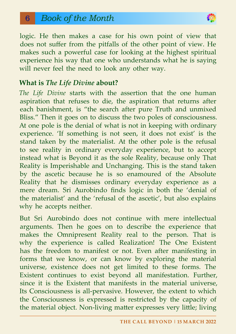

logic. He then makes a case for his own point of view that does not suffer from the pitfalls of the other point of view. He makes such a powerful case for looking at the highest spiritual experience his way that one who understands what he is saying will never feel the need to look any other way.

### **What is** *The Life Divine* **about?**

*The Life Divine* starts with the assertion that the one human aspiration that refuses to die, the aspiration that returns after each banishment, is "the search after pure Truth and unmixed Bliss." Then it goes on to discuss the two poles of consciousness. At one pole is the denial of what is not in keeping with ordinary experience. 'If something is not seen, it does not exist' is the stand taken by the materialist. At the other pole is the refusal to see reality in ordinary everyday experience, but to accept instead what is Beyond it as the sole Reality, because only That Reality is Imperishable and Unchanging. This is the stand taken by the ascetic because he is so enamoured of the Absolute Reality that he dismisses ordinary everyday experience as a mere dream. Sri Aurobindo finds logic in both the 'denial of the materialist' and the 'refusal of the ascetic', but also explains why he accepts neither.

But Sri Aurobindo does not continue with mere intellectual arguments. Then he goes on to describe the experience that makes the Omnipresent Reality real to the person. That is why the experience is called Realization! The One Existent has the freedom to manifest or not. Even after manifesting in forms that we know, or can know by exploring the material universe, existence does not get limited to these forms. The Existent continues to exist beyond all manifestation. Further, since it is the Existent that manifests in the material universe, Its Consciousness is all-pervasive. However, the extent to which the Consciousness is expressed is restricted by the capacity of the material object. Non-living matter expresses very little; living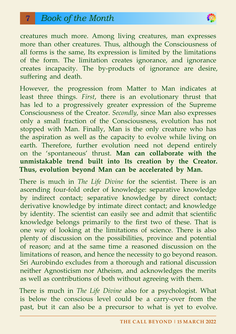

creatures much more. Among living creatures, man expresses more than other creatures. Thus, although the Consciousness of all forms is the same, Its expression is limited by the limitations of the form. The limitation creates ignorance, and ignorance creates incapacity. The by-products of ignorance are desire, suffering and death.

However, the progression from Matter to Man indicates at least three things. *First*, there is an evolutionary thrust that has led to a progressively greater expression of the Supreme Consciousness of the Creator. *Secondly*, since Man also expresses only a small fraction of the Consciousness, evolution has not stopped with Man. Finally, Man is the only creature who has the aspiration as well as the capacity to evolve while living on earth. Therefore, further evolution need not depend entirely on the 'spontaneous' thrust. **Man can collaborate with the unmistakable trend built into Its creation by the Creator. Thus, evolution beyond Man can be accelerated by Man.**

There is much in *The Life Divine* for the scientist. There is an ascending four-fold order of knowledge: separative knowledge by indirect contact; separative knowledge by direct contact; derivative knowledge by intimate direct contact; and knowledge by identity. The scientist can easily see and admit that scientific knowledge belongs primarily to the first two of these. That is one way of looking at the limitations of science. There is also plenty of discussion on the possibilities, province and potential of reason; and at the same time a reasoned discussion on the limitations of reason, and hence the necessity to go beyond reason. Sri Aurobindo excludes from a thorough and rational discussion neither Agnosticism nor Atheism, and acknowledges the merits as well as contributions of both without agreeing with them.

There is much in *The Life Divine* also for a psychologist. What is below the conscious level could be a carry-over from the past, but it can also be a precursor to what is yet to evolve.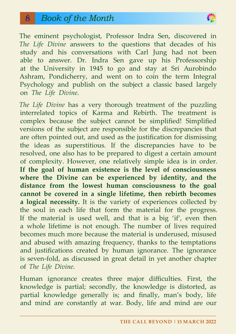### *Book of the Month* 8



The eminent psychologist, Professor Indra Sen, discovered in *The Life Divine* answers to the questions that decades of his study and his conversations with Carl Jung had not been able to answer. Dr. Indra Sen gave up his Professorship at the University in 1945 to go and stay at Sri Aurobindo Ashram, Pondicherry, and went on to coin the term Integral Psychology and publish on the subject a classic based largely on *The Life Divine*.

*The Life Divine* has a very thorough treatment of the puzzling interrelated topics of Karma and Rebirth. The treatment is complex because the subject cannot be simplified! Simplified versions of the subject are responsible for the discrepancies that are often pointed out, and used as the justification for dismissing the ideas as superstitious. If the discrepancies have to be resolved, one also has to be prepared to digest a certain amount of complexity. However, one relatively simple idea is in order. **If the goal of human existence is the level of consciousness where the Divine can be experienced by identity, and the distance from the lowest human consciousness to the goal cannot be covered in a single lifetime, then rebirth becomes a logical necessity.** It is the variety of experiences collected by the soul in each life that form the material for the progress. If the material is used well, and that is a big 'if', even then a whole lifetime is not enough. The number of lives required becomes much more because the material is underused, misused and abused with amazing frequency, thanks to the temptations and justifications created by human ignorance. The ignorance is seven-fold, as discussed in great detail in yet another chapter of *The Life Divine*.

Human ignorance creates three major difficulties. First, the knowledge is partial; secondly, the knowledge is distorted, as partial knowledge generally is; and finally, man's body, life and mind are constantly at war. Body, life and mind are our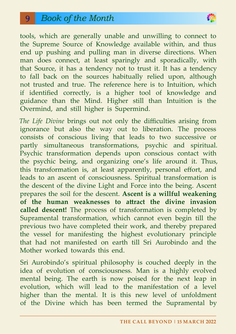

tools, which are generally unable and unwilling to connect to the Supreme Source of Knowledge available within, and thus end up pushing and pulling man in diverse directions. When man does connect, at least sparingly and sporadically, with that Source, it has a tendency not to trust it. It has a tendency to fall back on the sources habitually relied upon, although not trusted and true. The reference here is to Intuition, which if identified correctly, is a higher tool of knowledge and guidance than the Mind. Higher still than Intuition is the Overmind, and still higher is Supermind.

*The Life Divine* brings out not only the difficulties arising from ignorance but also the way out to liberation. The process consists of conscious living that leads to two successive or partly simultaneous transformations, psychic and spiritual. Psychic transformation depends upon conscious contact with the psychic being, and organizing one's life around it. Thus, this transformation is, at least apparently, personal effort, and leads to an ascent of consciousness. Spiritual transformation is the descent of the divine Light and Force into the being. Ascent prepares the soil for the descent. **ascent is a willful weakening of the human weaknesses to attract the divine invasion called descent!** The process of transformation is completed by Supramental transformation, which cannot even begin till the previous two have completed their work, and thereby prepared the vessel for manifesting the highest evolutionary principle that had not manifested on earth till Sri Aurobindo and the Mother worked towards this end.

Sri Aurobindo's spiritual philosophy is couched deeply in the idea of evolution of consciousness. Man is a highly evolved mental being. The earth is now poised for the next leap in evolution, which will lead to the manifestation of a level higher than the mental. It is this new level of unfoldment of the Divine which has been termed the Supramental by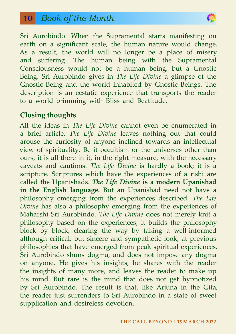### *Book of the Month* 10



Sri Aurobindo. When the Supramental starts manifesting on earth on a significant scale, the human nature would change. As a result, the world will no longer be a place of misery and suffering. The human being with the Supramental Consciousness would not be a human being, but a Gnostic Being. Sri Aurobindo gives in *The Life Divine* a glimpse of the Gnostic Being and the world inhabited by Gnostic Beings. The description is an ecstatic experience that transports the reader to a world brimming with Bliss and Beatitude.

### **Closing thoughts**

All the ideas in *The Life Divine* cannot even be enumerated in a brief article. *The Life Divine* leaves nothing out that could arouse the curiosity of anyone inclined towards an intellectual view of spirituality. Be it occultism or the universes other than ours, it is all there in it, in the right measure, with the necessary caveats and cautions. *The Life Divine* is hardly a book; it is a scripture. Scriptures which have the experiences of a rishi are called the Upanishads. *The Life Divine* **is a modern Upanishad in the English language.** But an Upanishad need not have a philosophy emerging from the experiences described. *The Life Divine* has also a philosophy emerging from the experiences of Maharshi Sri Aurobindo. *The Life Divine* does not merely knit a philosophy based on the experiences; it builds the philosophy block by block, clearing the way by taking a well-informed although critical, but sincere and sympathetic look, at previous philosophies that have emerged from peak spiritual experiences. Sri Aurobindo shuns dogma, and does not impose any dogma on anyone. He gives his insights, he shares with the reader the insights of many more, and leaves the reader to make up his mind. But rare is the mind that does not get hypnotized by Sri Aurobindo. The result is that, like Arjuna in the Gita, the reader just surrenders to Sri Aurobindo in a state of sweet supplication and desireless devotion.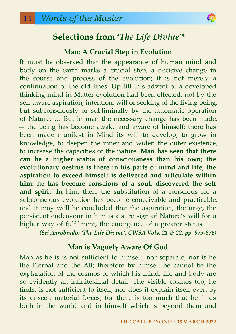

### **Selections from '***The Life Divine***'\***

### **Man: A Crucial Step in Evolution**

It must be observed that the appearance of human mind and body on the earth marks a crucial step, a decisive change in the course and process of the evolution; it is not merely a continuation of the old lines. Up till this advent of a developed thinking mind in Matter evolution had been effected, not by the self-aware aspiration, intention, will or seeking of the living being, but subconsciously or subliminally by the automatic operation of Nature. … But in man the necessary change has been made, — the being has become awake and aware of himself; there has been made manifest in Mind its will to develop, to grow in knowledge, to deepen the inner and widen the outer existence, to increase the capacities of the nature. **Man has seen that there can be a higher status of consciousness than his own; the evolutionary oestrus is there in his parts of mind and life, the aspiration to exceed himself is delivered and articulate within him: he has become conscious of a soul, discovered the self**  and spirit. In him, then, the substitution of a conscious for a subconscious evolution has become conceivable and practicable, and it may well be concluded that the aspiration, the urge, the persistent endeavour in him is a sure sign of Nature's will for a higher way of fulfilment, the emergence of a greater status.

*(Sri Aurobindo: 'The Life Divine', CWSA Vols. 21 & 22, pp. 875-876)*

#### **Man is Vaguely Aware Of God**

Man as he is is not sufficient to himself, nor separate, nor is he the Eternal and the All; therefore by himself he cannot be the explanation of the cosmos of which his mind, life and body are so evidently an infinitesimal detail. The visible cosmos too, he finds, is not sufficient to itself, nor does it explain itself even by its unseen material forces; for there is too much that he finds both in the world and in himself which is beyond them and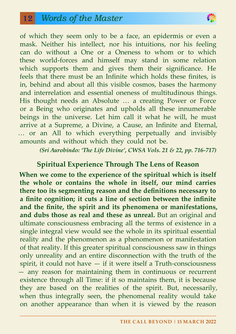

of which they seem only to be a face, an epidermis or even a mask. Neither his intellect, nor his intuitions, nor his feeling can do without a One or a Oneness to whom or to which these world-forces and himself may stand in some relation which supports them and gives them their significance. He feels that there must be an Infinite which holds these finites, is in, behind and about all this visible cosmos, bases the harmony and interrelation and essential oneness of multitudinous things. His thought needs an Absolute … a creating Power or Force or a Being who originates and upholds all these innumerable beings in the universe. Let him call it what he will, he must arrive at a Supreme, a Divine, a Cause, an Infinite and Eternal, … or an All to which everything perpetually and invisibly amounts and without which they could not be.

*(Sri Aurobindo: 'The Life Divine', CWSA Vols. 21 & 22, pp. 716-717)*

#### **Spiritual Experience Through The Lens of Reason**

**When we come to the experience of the spiritual which is itself the whole or contains the whole in itself, our mind carries there too its segmenting reason and the definitions necessary to a finite cognition; it cuts a line of section between the infinite and the finite, the spirit and its phenomena or manifestations, and dubs those as real and these as unreal.** But an original and ultimate consciousness embracing all the terms of existence in a single integral view would see the whole in its spiritual essential reality and the phenomenon as a phenomenon or manifestation of that reality. If this greater spiritual consciousness saw in things only unreality and an entire disconnection with the truth of the spirit, it could not have — if it were itself a Truth-consciousness — any reason for maintaining them in continuous or recurrent existence through all Time: if it so maintains them, it is because they are based on the realities of the spirit. But, necessarily, when thus integrally seen, the phenomenal reality would take on another appearance than when it is viewed by the reason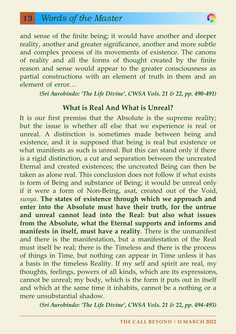

and sense of the finite being; it would have another and deeper reality, another and greater significance, another and more subtle and complex process of its movements of existence. The canons of reality and all the forms of thought created by the finite reason and sense would appear to the greater consciousness as partial constructions with an element of truth in them and an element of error…

*(Sri Aurobindo: 'The Life Divine', CWSA Vols. 21 & 22, pp. 490-491)*

### **What is Real And What is Unreal?**

It is our first premiss that the Absolute is the supreme reality; but the issue is whether all else that we experience is real or unreal. A distinction is sometimes made between being and existence, and it is supposed that being is real but existence or what manifests as such is unreal. But this can stand only if there is a rigid distinction, a cut and separation between the uncreated Eternal and created existences; the uncreated Being can then be taken as alone real. This conclusion does not follow if what exists is form of Being and substance of Being; it would be unreal only if it were a form of Non-Being, asat, created out of the Void, *sunya*. **The states of existence through which we approach and enter into the Absolute must have their truth, for the untrue and unreal cannot lead into the Real: but also what issues from the Absolute, what the Eternal supports and informs and manifests in itself, must have a reality**. There is the unmanifest and there is the manifestation, but a manifestation of the Real must itself be real; there is the Timeless and there is the process of things in Time, but nothing can appear in Time unless it has a basis in the timeless Reality. If my self and spirit are real, my thoughts, feelings, powers of all kinds, which are its expressions, cannot be unreal; my body, which is the form it puts out in itself and which at the same time it inhabits, cannot be a nothing or a mere unsubstantial shadow.

*(Sri Aurobindo: 'The Life Divine', CWSA Vols. 21 & 22, pp. 494-495)*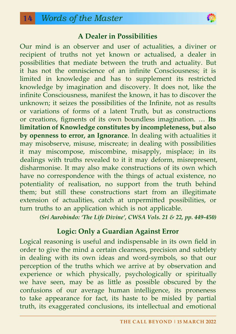

#### **a dealer in Possibilities**

Our mind is an observer and user of actualities, a diviner or recipient of truths not yet known or actualised, a dealer in possibilities that mediate between the truth and actuality. But it has not the omniscience of an infinite Consciousness; it is limited in knowledge and has to supplement its restricted knowledge by imagination and discovery. It does not, like the infinite Consciousness, manifest the known, it has to discover the unknown; it seizes the possibilities of the Infinite, not as results or variations of forms of a latent Truth, but as constructions or creations, figments of its own boundless imagination. … **Its limitation of Knowledge constitutes by incompleteness, but also by openness to error, an Ignorance**. In dealing with actualities it may misobserve, misuse, miscreate; in dealing with possibilities it may miscompose, miscombine, misapply, misplace; in its dealings with truths revealed to it it may deform, misrepresent, disharmonise. It may also make constructions of its own which have no correspondence with the things of actual existence, no potentiality of realisation, no support from the truth behind them; but still these constructions start from an illegitimate extension of actualities, catch at unpermitted possibilities, or turn truths to an application which is not applicable.

*(Sri Aurobindo: 'The Life Divine', CWSA Vols. 21 & 22, pp. 449-450)*

### **Logic: Only a Guardian Against Error**

Logical reasoning is useful and indispensable in its own field in order to give the mind a certain clearness, precision and subtlety in dealing with its own ideas and word-symbols, so that our perception of the truths which we arrive at by observation and experience or which physically, psychologically or spiritually we have seen, may be as little as possible obscured by the confusions of our average human intelligence, its proneness to take appearance for fact, its haste to be misled by partial truth, its exaggerated conclusions, its intellectual and emotional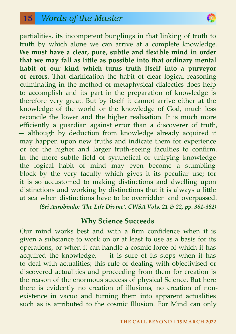

partialities, its incompetent bunglings in that linking of truth to truth by which alone we can arrive at a complete knowledge. **We must have a clear, pure, subtle and flexible mind in order that we may fall as little as possible into that ordinary mental habit of our kind which turns truth itself into a purveyor of errors.** That clarification the habit of clear logical reasoning culminating in the method of metaphysical dialectics does help to accomplish and its part in the preparation of knowledge is therefore very great. But by itself it cannot arrive either at the knowledge of the world or the knowledge of God, much less reconcile the lower and the higher realisation. It is much more efficiently a guardian against error than a discoverer of truth, — although by deduction from knowledge already acquired it may happen upon new truths and indicate them for experience or for the higher and larger truth-seeing faculties to confirm. In the more subtle field of synthetical or unifying knowledge the logical habit of mind may even become a stumblingblock by the very faculty which gives it its peculiar use; for it is so accustomed to making distinctions and dwelling upon distinctions and working by distinctions that it is always a little at sea when distinctions have to be overridden and overpassed.

*(Sri Aurobindo: 'The Life Divine', CWSA Vols. 21 & 22, pp. 381-382)*

#### **Why Science Succeeds**

Our mind works best and with a firm confidence when it is given a substance to work on or at least to use as a basis for its operations, or when it can handle a cosmic force of which it has acquired the knowledge, — it is sure of its steps when it has to deal with actualities; this rule of dealing with objectivised or discovered actualities and proceeding from them for creation is the reason of the enormous success of physical Science. But here there is evidently no creation of illusions, no creation of nonexistence in vacuo and turning them into apparent actualities such as is attributed to the cosmic Illusion. For Mind can only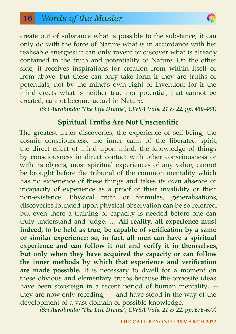

create out of substance what is possible to the substance, it can only do with the force of Nature what is in accordance with her realisable energies; it can only invent or discover what is already contained in the truth and potentiality of Nature. On the other side, it receives inspirations for creation from within itself or from above: but these can only take form if they are truths or potentials, not by the mind's own right of invention; for if the mind erects what is neither true nor potential, that cannot be created, cannot become actual in Nature.

*(Sri Aurobindo: 'The Life Divine', CWSA Vols. 21 & 22, pp. 450-451)*

### **Spiritual Truths Are Not Unscientific**

The greatest inner discoveries, the experience of self-being, the cosmic consciousness, the inner calm of the liberated spirit, the direct effect of mind upon mind, the knowledge of things by consciousness in direct contact with other consciousness or with its objects, most spiritual experiences of any value, cannot be brought before the tribunal of the common mentality which has no experience of these things and takes its own absence or incapacity of experience as a proof of their invalidity or their non-existence. Physical truth or formulas, generalisations, discoveries founded upon physical observation can be so referred, but even there a training of capacity is needed before one can truly understand and judge; … **All reality, all experience must indeed, to be held as true, be capable of verification by a same or similar experience; so, in fact, all men can have a spiritual experience and can follow it out and verify it in themselves, but only when they have acquired the capacity or can follow the inner methods by which that experience and verification are made possible.** It is necessary to dwell for a moment on these obvious and elementary truths because the opposite ideas have been sovereign in a recent period of human mentality, they are now only receding,  $-$  and have stood in the way of the development of a vast domain of possible knowledge.

*(Sri Aurobindo: 'The Life Divine', CWSA Vols. 21 & 22, pp. 676-677)*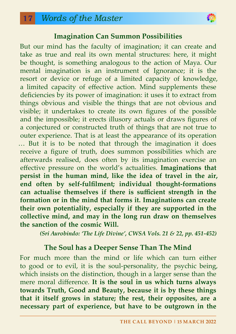

#### **Imagination Can Summon Possibilities**

But our mind has the faculty of imagination; it can create and take as true and real its own mental structures: here, it might be thought, is something analogous to the action of Maya. Our mental imagination is an instrument of Ignorance; it is the resort or device or refuge of a limited capacity of knowledge, a limited capacity of effective action. Mind supplements these deficiencies by its power of imagination: it uses it to extract from things obvious and visible the things that are not obvious and visible; it undertakes to create its own figures of the possible and the impossible; it erects illusory actuals or draws figures of a conjectured or constructed truth of things that are not true to outer experience. That is at least the appearance of its operation … But it is to be noted that through the imagination it does receive a figure of truth, does summon possibilities which are afterwards realised, does often by its imagination exercise an effective pressure on the world's actualities. **Imaginations that persist in the human mind, like the idea of travel in the air, end often by self-fulfilment; individual thought-formations can actualise themselves if there is sufficient strength in the formation or in the mind that forms it. Imaginations can create their own potentiality, especially if they are supported in the collective mind, and may in the long run draw on themselves the sanction of the cosmic Will.** 

*(Sri Aurobindo: 'The Life Divine', CWSA Vols. 21 & 22, pp. 451-452)*

#### **The Soul has a Deeper Sense Than The Mind**

For much more than the mind or life which can turn either to good or to evil, it is the soul-personality, the psychic being, which insists on the distinction, though in a larger sense than the mere moral difference. **It is the soul in us which turns always towards Truth, Good and Beauty, because it is by these things that it itself grows in stature; the rest, their opposites, are a necessary part of experience, but have to be outgrown in the**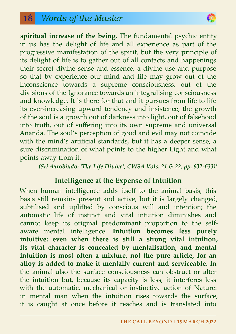# 18 Words of the Master



**spiritual increase of the being.** The fundamental psychic entity in us has the delight of life and all experience as part of the progressive manifestation of the spirit, but the very principle of its delight of life is to gather out of all contacts and happenings their secret divine sense and essence, a divine use and purpose so that by experience our mind and life may grow out of the Inconscience towards a supreme consciousness, out of the divisions of the Ignorance towards an integralising consciousness and knowledge. It is there for that and it pursues from life to life its ever-increasing upward tendency and insistence; the growth of the soul is a growth out of darkness into light, out of falsehood into truth, out of suffering into its own supreme and universal Ananda. The soul's perception of good and evil may not coincide with the mind's artificial standards, but it has a deeper sense, a sure discrimination of what points to the higher Light and what points away from it.

*(Sri Aurobindo: 'The Life Divine', CWSA Vols. 21 & 22, pp. 632-633)'*

#### **Intelligence at the Expense of Intuition**

When human intelligence adds itself to the animal basis, this basis still remains present and active, but it is largely changed, subtilised and uplifted by conscious will and intention; the automatic life of instinct and vital intuition diminishes and cannot keep its original predominant proportion to the selfaware mental intelligence. **Intuition becomes less purely intuitive: even when there is still a strong vital intuition, its vital character is concealed by mentalisation, and mental intuition is most often a mixture, not the pure article, for an alloy is added to make it mentally current and serviceable.** In the animal also the surface consciousness can obstruct or alter the intuition but, because its capacity is less, it interferes less with the automatic, mechanical or instinctive action of Nature: in mental man when the intuition rises towards the surface, it is caught at once before it reaches and is translated into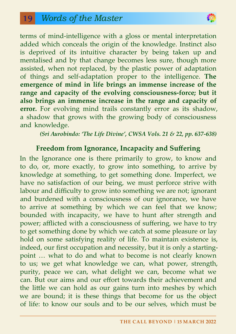

terms of mind-intelligence with a gloss or mental interpretation added which conceals the origin of the knowledge. Instinct also is deprived of its intuitive character by being taken up and mentalised and by that change becomes less sure, though more assisted, when not replaced, by the plastic power of adaptation of things and self-adaptation proper to the intelligence. **The emergence of mind in life brings an immense increase of the range and capacity of the evolving consciousness-force; but it also brings an immense increase in the range and capacity of error.** For evolving mind trails constantly error as its shadow, a shadow that grows with the growing body of consciousness and knowledge.

#### *(Sri Aurobindo: 'The Life Divine', CWSA Vols. 21 & 22, pp. 637-638)*

#### **Freedom from Ignorance, Incapacity and Suffering**

In the Ignorance one is there primarily to grow, to know and to do, or, more exactly, to grow into something, to arrive by knowledge at something, to get something done. Imperfect, we have no satisfaction of our being, we must perforce strive with labour and difficulty to grow into something we are not; ignorant and burdened with a consciousness of our ignorance, we have to arrive at something by which we can feel that we know; bounded with incapacity, we have to hunt after strength and power; afflicted with a consciousness of suffering, we have to try to get something done by which we catch at some pleasure or lay hold on some satisfying reality of life. To maintain existence is, indeed, our first occupation and necessity, but it is only a startingpoint … what to do and what to become is not clearly known to us; we get what knowledge we can, what power, strength, purity, peace we can, what delight we can, become what we can. But our aims and our effort towards their achievement and the little we can hold as our gains turn into meshes by which we are bound; it is these things that become for us the object of life: to know our souls and to be our selves, which must be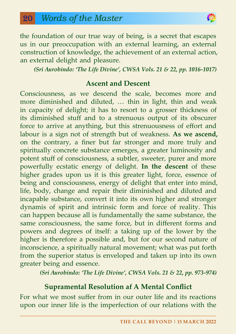

the foundation of our true way of being, is a secret that escapes us in our preoccupation with an external learning, an external construction of knowledge, the achievement of an external action, an external delight and pleasure.

*(Sri Aurobindo: 'The Life Divine', CWSA Vols. 21 & 22, pp. 1016-1017)*

### **Ascent and Descent**

Consciousness, as we descend the scale, becomes more and more diminished and diluted, … thin in light, thin and weak in capacity of delight; it has to resort to a grosser thickness of its diminished stuff and to a strenuous output of its obscurer force to arrive at anything, but this strenuousness of effort and labour is a sign not of strength but of weakness. **As we ascend,** on the contrary, a finer but far stronger and more truly and spiritually concrete substance emerges, a greater luminosity and potent stuff of consciousness, a subtler, sweeter, purer and more powerfully ecstatic energy of delight. **In the descent** of these higher grades upon us it is this greater light, force, essence of being and consciousness, energy of delight that enter into mind, life, body, change and repair their diminished and diluted and incapable substance, convert it into its own higher and stronger dynamis of spirit and intrinsic form and force of reality. This can happen because all is fundamentally the same substance, the same consciousness, the same force, but in different forms and powers and degrees of itself: a taking up of the lower by the higher is therefore a possible and, but for our second nature of inconscience, a spiritually natural movement; what was put forth from the superior status is enveloped and taken up into its own greater being and essence.

*(Sri Aurobindo: 'The Life Divine', CWSA Vols. 21 & 22, pp. 973-974)*

### **Supramental Resolution af A Mental Conflict**

For what we most suffer from in our outer life and its reactions upon our inner life is the imperfection of our relations with the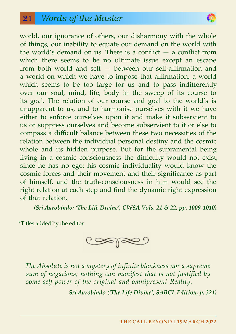

world, our ignorance of others, our disharmony with the whole of things, our inability to equate our demand on the world with the world's demand on us. There is a conflict  $-$  a conflict from which there seems to be no ultimate issue except an escape from both world and self — between our self-affirmation and a world on which we have to impose that affirmation, a world which seems to be too large for us and to pass indifferently over our soul, mind, life, body in the sweep of its course to its goal. The relation of our course and goal to the world's is unapparent to us, and to harmonise ourselves with it we have either to enforce ourselves upon it and make it subservient to us or suppress ourselves and become subservient to it or else to compass a difficult balance between these two necessities of the relation between the individual personal destiny and the cosmic whole and its hidden purpose. But for the supramental being living in a cosmic consciousness the difficulty would not exist, since he has no ego; his cosmic individuality would know the cosmic forces and their movement and their significance as part of himself, and the truth-consciousness in him would see the right relation at each step and find the dynamic right expression of that relation.

*(Sri Aurobindo: 'The Life Divine', CWSA Vols. 21 & 22, pp. 1009-1010)*

*\**Titles added by the edito*r*



*The Absolute is not a mystery of infinite blankness nor a supreme sum of negations; nothing can manifest that is not justified by some self-power of the original and omnipresent Reality.*

*Sri Aurobindo ('The Life Divine', SABCL Edition, p. 321)*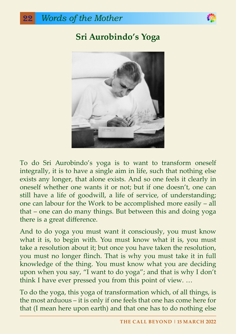#### *Words of the Mother* 22

# **Sri Aurobindo's Yoga**



To do Sri Aurobindo's yoga is to want to transform oneself integrally, it is to have a single aim in life, such that nothing else exists any longer, that alone exists. And so one feels it clearly in oneself whether one wants it or not; but if one doesn't, one can still have a life of goodwill, a life of service, of understanding; one can labour for the Work to be accomplished more easily – all that – one can do many things. But between this and doing yoga there is a great difference.

And to do yoga you must want it consciously, you must know what it is, to begin with. You must know what it is, you must take a resolution about it; but once you have taken the resolution, you must no longer flinch. That is why you must take it in full knowledge of the thing. You must know what you are deciding upon when you say, "I want to do yoga"; and that is why I don't think I have ever pressed you from this point of view. …

To do the yoga, this yoga of transformation which, of all things, is the most arduous – it is only if one feels that one has come here for that (I mean here upon earth) and that one has to do nothing else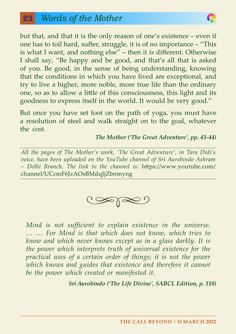

but that, and that it is the only reason of one's existence – even if one has to toil hard, suffer, struggle, it is of no importance – "This is what I want, and nothing else" – then it is different. Otherwise I shall say, "Be happy and be good, and that's all that is asked of you. Be good, in the sense of being understanding, knowing that the conditions in which you have lived are exceptional, and try to live a higher, more noble, more true life than the ordinary one, so as to allow a little of this consciousness, this light and its goodness to express itself in the world. It would be very good."

But once you have set foot on the path of yoga, you must have a resolution of steel and walk straight on to the goal, whatever the cost.

#### *The Mother ('The Great Adventure', pp. 43-44)*

*All the pages of The Mother's work, 'The Great Adventure', in Tara Didi's voice, have been uploaded on the YouTube channel of Sri Aurobindo Ashram – Delhi Branch. The link to the channel is:* https://www.youtube.com/ channel/UCcmF6JzAOsBMdqJjZbnmyng

$$
\text{C}\text{C}
$$

*Mind is not sufficient to explain existence in the universe. … … For Mind is that which does not know, which tries to know and which never knows except as in a glass darkly. It is the power which interprets truth of universal existence for the practical uses of a certain order of things; it is not the power which knows and guides that existence and therefore it cannot be the power which created or manifested it.*

*Sri Aurobindo ('The Life Divine', SABCL Edition, p. 118)*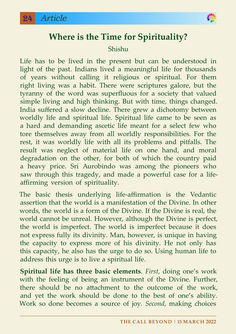

### **Where is the Time for Spirituality?**

Shishu

Life has to be lived in the present but can be understood in light of the past. Indians lived a meaningful life for thousands of years without calling it religious or spiritual. For them right living was a habit. There were scriptures galore, but the tyranny of the word was superfluous for a society that valued simple living and high thinking. But with time, things changed. India suffered a slow decline. There grew a dichotomy between worldly life and spiritual life. Spiritual life came to be seen as a hard and demanding ascetic life meant for a select few who tore themselves away from all worldly responsibilities. For the rest, it was worldly life with all its problems and pitfalls. The result was neglect of material life on one hand, and moral degradation on the other, for both of which the country paid a heavy price. Sri Aurobindo was among the pioneers who saw through this tragedy, and made a powerful case for a lifeaffirming version of spirituality.

The basic thesis underlying life-affirmation is the Vedantic assertion that the world is a manifestation of the Divine. In other words, the world is a form of the Divine. If the Divine is real, the world cannot be unreal. However, although the Divine is perfect, the world is imperfect. The world is imperfect because it does not express fully its divinity. Man, however, is unique in having the capacity to express more of his divinity. He not only has this capacity, he also has the urge to do so. Using human life to address this urge is to live a spiritual life.

**Spiritual life has three basic elements**. *First*, doing one's work with the feeling of being an instrument of the Divine. Further, there should be no attachment to the outcome of the work, and yet the work should be done to the best of one's ability. Work so done becomes a source of joy. *Second*, making choices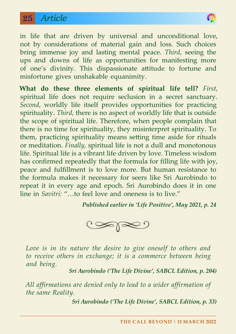### *Article* 25



in life that are driven by universal and unconditional love, not by considerations of material gain and loss. Such choices bring immense joy and lasting mental peace. *Third*, seeing the ups and downs of life as opportunities for manifesting more of one's divinity. This dispassionate attitude to fortune and misfortune gives unshakable equanimity.

**What do these three elements of spiritual life tell?** *First*, spiritual life does not require seclusion in a secret sanctuary. *Second*, worldly life itself provides opportunities for practicing spirituality. *Third*, there is no aspect of worldly life that is outside the scope of spiritual life. Therefore, when people complain that there is no time for spirituality, they misinterpret spirituality. To them, practicing spirituality means setting time aside for rituals or meditation. *Finally*, spiritual life is not a dull and monotonous life. Spiritual life is a vibrant life driven by love. Timeless wisdom has confirmed repeatedly that the formula for filling life with joy, peace and fulfillment is to love more. But human resistance to the formula makes it necessary for seers like Sri Aurobindo to repeat it in every age and epoch. Sri Aurobindo does it in one line in *Savitri:* "…to feel love and oneness is to live."

*Published earlier in 'Life Positive', May 2021, p. 24*



*Love is in its nature the desire to give oneself to others and to receive others in exchange; it is a commerce between being and being.*

*Sri Aurobindo ('The Life Divine', SABCL Edition, p. 204)*

*All affirmations are denied only to lead to a wider affirmation of the same Reality.*

*Sri Aurobindo ('The Life Divine', SABCL Edition, p. 33)*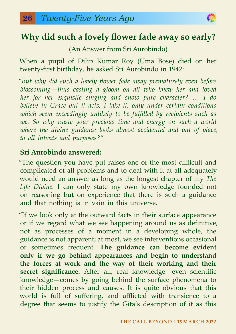

### **Why did such a lovely flower fade away so early?**

(An Answer from Sri Aurobindo)

When a pupil of Dilip Kumar Roy (Uma Bose) died on her twenty-first birthday, he asked Sri Aurobindo in 1942:

*"But why did such a lovely flower fade away prematurely even before blossoming—thus casting a gloom on all who knew her and loved her for her exquisite singing and snow pure character? … I do believe in Grace but it acts, I take it, only under certain conditions*  which seem exceedingly unlikely to be fulfilled by recipients such as *we. So why waste your precious time and energy on such a world where the divine guidance looks almost accidental and out of place, to all intents and purposes?"*

### **Sri aurobindo answered:**

"The question you have put raises one of the most difficult and complicated of all problems and to deal with it at all adequately would need an answer as long as the longest chapter of my *The Life Divine.* I can only state my own knowledge founded not on reasoning but on experience that there is such a guidance and that nothing is in vain in this universe.

"If we look only at the outward facts in their surface appearance or if we regard what we see happening around us as definitive, not as processes of a moment in a developing whole, the guidance is not apparent; at most, we see interventions occasional or sometimes frequent. **The guidance can become evident only if we go behind appearances and begin to understand the forces at work and the way of their working and their secret significance.** After all, real knowledge—even scientific knowledge—comes by going behind the surface phenomena to their hidden process and causes. It is quite obvious that this world is full of suffering, and afflicted with transience to a degree that seems to justify the Gita's description of it as this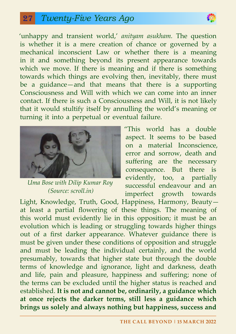### *Twenty-Five Years Ago* 27



'unhappy and transient world,' *anityam asukham.* The question is whether it is a mere creation of chance or governed by a mechanical inconscient Law or whether there is a meaning in it and something beyond its present appearance towards which we move. If there is meaning and if there is something towards which things are evolving then, inevitably, there must be a guidance—and that means that there is a supporting Consciousness and Will with which we can come into an inner contact. If there is such a Consciousness and Will, it is not likely that it would stultify itself by annulling the world's meaning or turning it into a perpetual or eventual failure.



*Uma Bose with Dilip Kumar Roy (Source: scroll.in)*

"This world has a double aspect. lt seems to be based on a material Inconscience, error and sorrow, death and suffering are the necessary consequence. But there is evidently, too, a partially successful endeavour and an imperfect growth towards

Light, Knowledge, Truth, Good, Happiness, Harmony, Beauty at least a partial flowering of these things. The meaning of this world must evidently lie in this opposition; it must be an evolution which is leading or struggling towards higher things out of a first darker appearance. Whatever guidance there is must be given under these conditions of opposition and struggle and must be leading the individual certainly, and the world presumably, towards that higher state but through the double terms of knowledge and ignorance, light and darkness, death and life, pain and pleasure, happiness and suffering; none of the terms can be excluded until the higher status is reached and established. **It is not and cannot be, ordinarily, a guidance which at once rejects the darker terms, still less a guidance which brings us solely and always nothing but happiness, success and**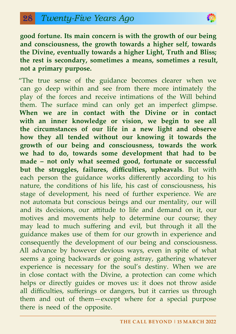

**good fortune. Its main concern is with the growth of our being and consciousness, the growth towards a higher self, towards the Divine, eventually towards a higher Light, Truth and Bliss; the rest is secondary, sometimes a means, sometimes a result, not a primary purpose.**

"The true sense of the guidance becomes clearer when we can go deep within and see from there more intimately the play of the forces and receive intimations of the Will behind them. The surface mind can only get an imperfect glimpse. **When we are in contact with the Divine or in contact with an inner knowledge or vision, we begin to see all the circumstances of our life in a new light and observe how they all tended without our knowing it towards the growth of our being and consciousness, towards the work we had to do, towards some development that had to be made – not only what seemed good, fortunate or successful but the struggles, failures, difficulties, upheavals**. But with each person the guidance works differently according to his nature, the conditions of his life, his cast of consciousness, his stage of development, his need of further experience. We are not automata but conscious beings and our mentality, our will and its decisions, our attitude to life and demand on it, our motives and movements help to determine our course; they may lead to much suffering and evil, but through it all the guidance makes use of them for our growth in experience and consequently the development of our being and consciousness. All advance by however devious ways, even in spite of what seems a going backwards or going astray, gathering whatever experience is necessary for the soul's destiny. When we are in close contact with the Divine, a protection can come which helps or directly guides or moves us: it does not throw aside all difficulties, sufferings or dangers, but it carries us through them and out of them—except where for a special purpose there is need of the opposite.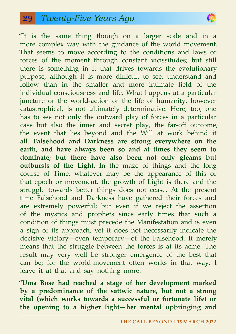## *Twenty-Five Years Ago* 29



"It is the same thing though on a larger scale and in a more complex way with the guidance of the world movement. That seems to move according to the conditions and laws or forces of the moment through constant vicissitudes; but still there is something in it that drives towards the evolutionary purpose, although it is more difficult to see, understand and follow than in the smaller and more intimate field of the individual consciousness and life. What happens at a particular juncture or the world-action or the life of humanity, however catastrophical, is not ultimately determinative. Here, too, one has to see not only the outward play of forces in a particular case but also the inner and secret play, the far-off outcome, the event that lies beyond and the Will at work behind it all. **Falsehood and Darkness are strong everywhere on the earth, and have always been so and at times they seem to dominate; but there have also been not only gleams but outbursts of the Light**. In the maze of things and the long course of Time, whatever may be the appearance of this or that epoch or movement, the growth of Light is there and the struggle towards better things does not cease. At the present time Falsehood and Darkness have gathered their forces and are extremely powerful; but even if we reject the assertion of the mystics and prophets since early times that such a condition of things must precede the Manifestation and is even a sign of its approach, yet it does not necessarily indicate the decisive victory—even temporary—of the Falsehood. It merely means that the struggle between the forces is at its acme. The result may very well be stronger emergence of the best that can be; for the world-movement often works in that way. I leave it at that and say nothing more.

**"Uma Bose had reached a stage of her development marked by a predominance of the sattwic nature, but not a strong vital (which works towards a successful or fortunate life) or the opening to a higher light—her mental upbringing and**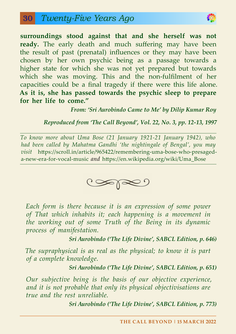### *Twenty-Five Years Ago* 30



**surroundings stood against that and she herself was not ready.** The early death and much suffering may have been the result of past (prenatal) influences or they may have been chosen by her own psychic being as a passage towards a higher state for which she was not yet prepared but towards which she was moving. This and the non-fulfilment of her capacities could be a final tragedy if there were this life alone. **As it is, she has passed towards the psychic sleep to prepare for her life to come."**

*From: 'Sri Aurobindo Came to Me' by Dilip Kumar Roy*

*Reproduced from 'The Call Beyond', Vol. 22, No. 3, pp. 12-13, 1997*

*To know more about Uma Bose (21 January 1921-21 January 1942), who had been called by Mahatma Gandhi 'the nightingale of Bengal', you may visit* https://scroll.in/article/965422/remembering-uma-bose-who-presageda-new-era-for-vocal-music *and* https://en.wikipedia.org/wiki/Uma\_Bose



*Each form is there because it is an expression of some power of That which inhabits it; each happening is a movement in the working out of some Truth of the Being in its dynamic process of manifestation.*

*Sri Aurobindo ('The Life Divine', SABCL Edition, p. 646)*

*The supraphysical is as real as the physical; to know it is part of a complete knowledge.*

*Sri Aurobindo ('The Life Divine', SABCL Edition, p. 651)*

*Our subjective being is the basis of our objective experience, and it is not probable that only its physical objectivisations are true and the rest unreliable.*

*Sri Aurobindo ('The Life Divine', SABCL Edition, p. 773)*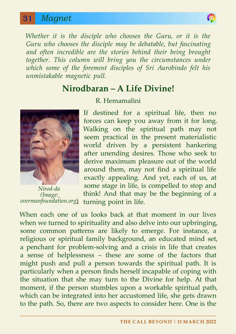

*Whether it is the disciple who chooses the Guru, or it is the Guru who chooses the disciple may be debatable, but fascinating and often incredible are the stories behind their being brought*  together. This column will bring you the circumstances under *which some of the foremost disciples of Sri Aurobindo felt his unmistakable magnetic pull.*

### **Nirodbaran – A Life Divine!**



*Nirod-da (Image: overmanfoundation.org*)

#### R. Hemamalini

If destined for a spiritual life, then no forces can keep you away from it for long. Walking on the spiritual path may not seem practical in the present materialistic world driven by a persistent hankering after unending desires. Those who seek to derive maximum pleasure out of the world around them, may not find a spiritual life exactly appealing. And yet, each of us, at some stage in life, is compelled to stop and think! And that may be the beginning of a turning point in life.

When each one of us looks back at that moment in our lives when we turned to spirituality and also delve into our upbringing, some common patterns are likely to emerge. For instance, a religious or spiritual family background, an educated mind set, a penchant for problem-solving and a crisis in life that creates a sense of helplessness – these are some of the factors that might push and pull a person towards the spiritual path. It is particularly when a person finds herself incapable of coping with the situation that she may turn to the Divine for help. At that moment, if the person stumbles upon a workable spiritual path, which can be integrated into her accustomed life, she gets drawn to the path. So, there are two aspects to consider here. One is the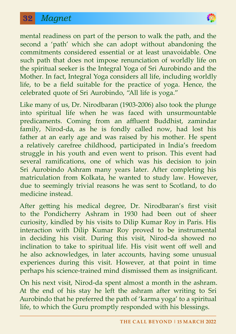

mental readiness on part of the person to walk the path, and the second a 'path' which she can adopt without abandoning the commitments considered essential or at least unavoidable. One such path that does not impose renunciation of worldly life on the spiritual seeker is the Integral Yoga of Sri Aurobindo and the Mother. In fact, Integral Yoga considers all life, including worldly life, to be a field suitable for the practice of yoga. Hence, the celebrated quote of Sri Aurobindo, "All life is yoga."

Like many of us, Dr. Nirodbaran (1903-2006) also took the plunge into spiritual life when he was faced with unsurmountable predicaments. Coming from an affluent Buddhist, zamindar family, Nirod-da, as he is fondly called now, had lost his father at an early age and was raised by his mother. He spent a relatively carefree childhood, participated in India's freedom struggle in his youth and even went to prison. This event had several ramifications, one of which was his decision to join Sri Aurobindo Ashram many years later. After completing his matriculation from Kolkata, he wanted to study law. However, due to seemingly trivial reasons he was sent to Scotland, to do medicine instead.

After getting his medical degree, Dr. Nirodbaran's first visit to the Pondicherry Ashram in 1930 had been out of sheer curiosity, kindled by his visits to Dilip Kumar Roy in Paris. His interaction with Dilip Kumar Roy proved to be instrumental in deciding his visit. During this visit, Nirod-da showed no inclination to take to spiritual life. His visit went off well and he also acknowledges, in later accounts, having some unusual experiences during this visit. However, at that point in time perhaps his science-trained mind dismissed them as insignificant.

On his next visit, Nirod-da spent almost a month in the ashram. At the end of his stay he left the ashram after writing to Sri Aurobindo that he preferred the path of 'karma yoga' to a spiritual life, to which the Guru promptly responded with his blessings.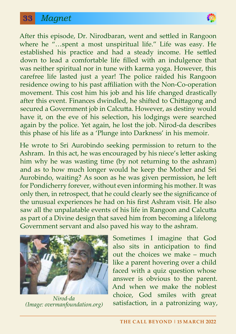

After this episode, Dr. Nirodbaran, went and settled in Rangoon where he "…spent a most unspiritual life." Life was easy. He established his practice and had a steady income. He settled down to lead a comfortable life filled with an indulgence that was neither spiritual nor in tune with karma yoga. However, this carefree life lasted just a year! The police raided his Rangoon residence owing to his past affiliation with the Non-Co-operation movement. This cost him his job and his life changed drastically after this event. Finances dwindled, he shifted to Chittagong and secured a Government job in Calcutta. However, as destiny would have it, on the eve of his selection, his lodgings were searched again by the police. Yet again, he lost the job. Nirod-da describes this phase of his life as a 'Plunge into Darkness' in his memoir.

He wrote to Sri Aurobindo seeking permission to return to the Ashram. In this act, he was encouraged by his niece's letter asking him why he was wasting time (by not returning to the ashram) and as to how much longer would he keep the Mother and Sri Aurobindo, waiting? As soon as he was given permission, he left for Pondicherry forever, without even informing his mother. It was only then, in retrospect, that he could clearly see the significance of the unusual experiences he had on his first Ashram visit. He also saw all the unpalatable events of his life in Rangoon and Calcutta as part of a Divine design that saved him from becoming a lifelong Government servant and also paved his way to the ashram.



*(Image: overmanfoundation.org)*

Sometimes I imagine that God also sits in anticipation to find out the choices we make – much like a parent hovering over a child faced with a quiz question whose answer is obvious to the parent. And when we make the noblest choice, God smiles with great satisfaction, in a patronizing way, *Nirod-da*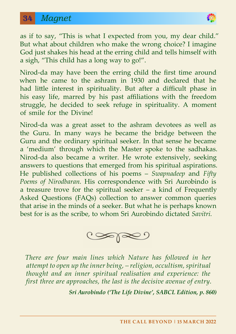

as if to say, "This is what I expected from you, my dear child." But what about children who make the wrong choice? I imagine God just shakes his head at the erring child and tells himself with a sigh, "This child has a long way to go!".

Nirod-da may have been the erring child the first time around when he came to the ashram in 1930 and declared that he had little interest in spirituality. But after a difficult phase in his easy life, marred by his past affiliations with the freedom struggle, he decided to seek refuge in spirituality. A moment of smile for the Divine!

Nirod-da was a great asset to the ashram devotees as well as the Guru. In many ways he became the bridge between the Guru and the ordinary spiritual seeker. In that sense he became a 'medium' through which the Master spoke to the sadhakas. Nirod-da also became a writer. He wrote extensively, seeking answers to questions that emerged from his spiritual aspirations. He published collections of his poems – *Swapnadeep* and *Fifty Poems of Nirodbaran.* His correspondence with Sri Aurobindo is a treasure trove for the spiritual seeker – a kind of Frequently Asked Questions (FAQs) collection to answer common queries that arise in the minds of a seeker. But what he is perhaps known best for is as the scribe, to whom Sri Aurobindo dictated *Savitri.*



*There are four main lines which Nature has followed in her attempt to open up the inner being, – religion, occultism, spiritual thought and an inner spiritual realisation and experience: the first three are approaches, the last is the decisive avenue of entry.*

*Sri Aurobindo ('The Life Divine', SABCL Edition, p. 860)*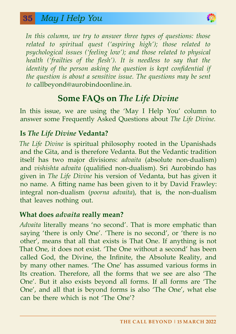

In this column, we try to answer three types of questions: those *related to spiritual quest ('aspiring high'); those related to psychological issues ('feeling low'); and those related to physical health ('frailties of the flesh'). It is needless to say that the identity of the person asking the question is kept confidential if the question is about a sensitive issue. The questions may be sent to* callbeyond@aurobindoonline.in*.*

# **Some FaQs on** *The Life Divine*

In this issue, we are using the 'May I Help You' column to answer some Frequently Asked Questions about *The Life Divine.*

### **Is** *The Life Divine* **Vedanta?**

*The Life Divine* is spiritual philosophy rooted in the Upanishads and the Gita, and is therefore Vedanta. But the Vedantic tradition itself has two major divisions: *advaita* (absolute non-dualism) and *vishishta advaita* (qualified non-dualism). Sri Aurobindo has given in *The Life Divine* his version of Vedanta, but has given it no name. A fitting name has been given to it by David Frawley: integral non-dualism (*poorna advaita*), that is, the non-dualism that leaves nothing out.

#### **What does** *advaita* **really mean?**

*Advaita* literally means 'no second'. That is more emphatic than saying 'there is only One'. 'There is no second', or 'there is no other', means that all that exists is That One. If anything is not That One, it does not exist. 'The One without a second' has been called God, the Divine, the Infinite, the Absolute Reality, and by many other names. 'The One' has assumed various forms in Its creation. Therefore, all the forms that we see are also 'The One'. But it also exists beyond all forms. If all forms are 'The One', and all that is beyond forms is also 'The One', what else can be there which is not 'The One'?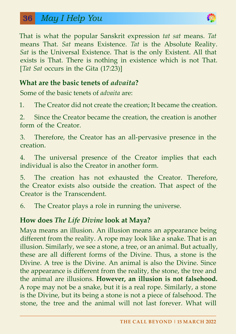

That is what the popular Sanskrit expression *tat sat* means. *Tat*  means That. *Sat* means Existence. *Tat* is the Absolute Reality. *Sat* is the Universal Existence. That is the only Existent. All that exists is That. There is nothing in existence which is not That. [*Tat Sat occurs in the Gita (17:23)*]

#### **What are the basic tenets of** *advaita***?**

Some of the basic tenets of *advaita* are:

1. The Creator did not create the creation; It became the creation.

2. Since the Creator became the creation, the creation is another form of the Creator.

3. Therefore, the Creator has an all-pervasive presence in the creation.

4. The universal presence of the Creator implies that each individual is also the Creator in another form.

5. The creation has not exhausted the Creator. Therefore, the Creator exists also outside the creation. That aspect of the Creator is the Transcendent.

6. The Creator plays a role in running the universe.

### **how does** *The Life Divine* **look at Maya?**

Maya means an illusion. An illusion means an appearance being different from the reality. A rope may look like a snake. That is an illusion. Similarly, we see a stone, a tree, or an animal. But actually, these are all different forms of the Divine. Thus, a stone is the Divine. A tree is the Divine. An animal is also the Divine. Since the appearance is different from the reality, the stone, the tree and the animal are illusions. **However, an illusion is not falsehood.** A rope may not be a snake, but it is a real rope. Similarly, a stone is the Divine, but its being a stone is not a piece of falsehood. The stone, the tree and the animal will not last forever. What will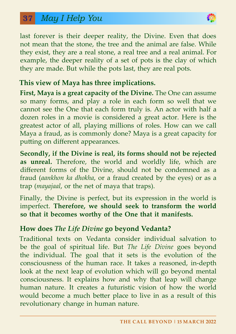

last forever is their deeper reality, the Divine. Even that does not mean that the stone, the tree and the animal are false. While they exist, they are a real stone, a real tree and a real animal. For example, the deeper reality of a set of pots is the clay of which they are made. But while the pots last, they are real pots.

#### **This view of Maya has three implications.**

**First, Maya is a great capacity of the Divine.** The One can assume so many forms, and play a role in each form so well that we cannot see the One that each form truly is. An actor with half a dozen roles in a movie is considered a great actor. Here is the greatest actor of all, playing millions of roles. How can we call Maya a fraud, as is commonly done? Maya is a great capacity for putting on different appearances.

**Secondly, if the Divine is real, its forms should not be rejected as unreal.** Therefore, the world and worldly life, which are different forms of the Divine, should not be condemned as a fraud (*aankhon ka dhokha*, or a fraud created by the eyes) or as a trap (*mayajaal*, or the net of maya that traps).

Finally, the Divine is perfect, but its expression in the world is imperfect. **Therefore, we should seek to transform the world so that it becomes worthy of the One that it manifests.**

### **how does** *The Life Divine* **go beyond Vedanta?**

Traditional texts on Vedanta consider individual salvation to be the goal of spiritual life. But *The Life Divine* goes beyond the individual. The goal that it sets is the evolution of the consciousness of the human race. It takes a reasoned, in-depth look at the next leap of evolution which will go beyond mental consciousness. It explains how and why that leap will change human nature. It creates a futuristic vision of how the world would become a much better place to live in as a result of this revolutionary change in human nature.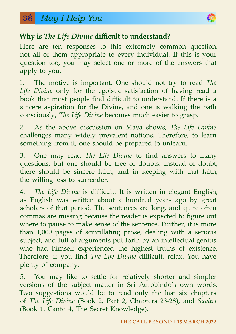

### **Why is** *The Life Divine* **difficult to understand?**

Here are ten responses to this extremely common question, not all of them appropriate to every individual. If this is your question too, you may select one or more of the answers that apply to you.

1. The motive is important. One should not try to read *The Life Divine* only for the egoistic satisfaction of having read a book that most people find difficult to understand. If there is a sincere aspiration for the Divine, and one is walking the path consciously, *The Life Divine* becomes much easier to grasp.

2. As the above discussion on Maya shows, *The Life Divine*  challenges many widely prevalent notions. Therefore, to learn something from it, one should be prepared to unlearn.

3. One may read *The Life Divine* to find answers to many questions, but one should be free of doubts. Instead of doubt, there should be sincere faith, and in keeping with that faith, the willingness to surrender.

4. *The Life Divine* is difficult. It is written in elegant English, as English was written about a hundred years ago by great scholars of that period. The sentences are long, and quite often commas are missing because the reader is expected to figure out where to pause to make sense of the sentence. Further, it is more than 1,000 pages of scintillating prose, dealing with a serious subject, and full of arguments put forth by an intellectual genius who had himself experienced the highest truths of existence. Therefore, if you find *The Life Divine* difficult, relax. You have plenty of company.

5. You may like to settle for relatively shorter and simpler versions of the subject matter in Sri Aurobindo's own words. Two suggestions would be to read only the last six chapters of *The Life Divine* (Book 2, Part 2, Chapters 23-28), and *Savitri* (Book 1, Canto 4, The Secret Knowledge).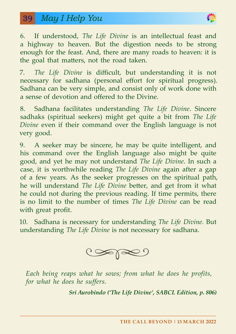

6. If understood, *The Life Divine* is an intellectual feast and a highway to heaven. But the digestion needs to be strong enough for the feast. And, there are many roads to heaven: it is the goal that matters, not the road taken.

7. *The Life Divine* is difficult, but understanding it is not necessary for sadhana (personal effort for spiritual progress). Sadhana can be very simple, and consist only of work done with a sense of devotion and offered to the Divine.

8. Sadhana facilitates understanding *The Life Divine*. Sincere sadhaks (spiritual seekers) might get quite a bit from *The Life Divine* even if their command over the English language is not very good.

9. A seeker may be sincere, he may be quite intelligent, and his command over the English language also might be quite good, and yet he may not understand *The Life Divine*. In such a case, it is worthwhile reading *The Life Divine* again after a gap of a few years. As the seeker progresses on the spiritual path, he will understand *The Life Divine* better, and get from it what he could not during the previous reading. If time permits, there is no limit to the number of times *The Life Divine* can be read with great profit.

10. Sadhana is necessary for understanding *The Life Divine*. But understanding *The Life Divine* is not necessary for sadhana.



*Each being reaps what he sows; from what he does he profits, for what he does he suffers.*

*Sri Aurobindo ('The Life Divine', SABCL Edition, p. 806)*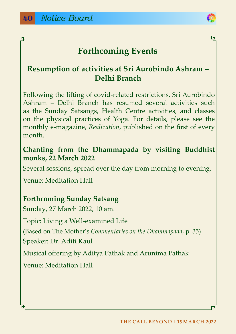டி



Lр

### **Forthcoming Events**

### **Resumption of activities at Sri Aurobindo Ashram – Delhi Branch**

Following the lifting of covid-related restrictions, Sri Aurobindo Ashram – Delhi Branch has resumed several activities such as the Sunday Satsangs, Health Centre activities, and classes on the physical practices of Yoga. For details, please see the monthly e-magazine, *Realization*, published on the first of every month.

### **Chanting from the Dhammapada by visiting Buddhist monks, 22 March 2022**

Several sessions, spread over the day from morning to evening.

Venue: Meditation Hall

### **Forthcoming Sunday Satsang**

Sunday, 27 March 2022, 10 am.

Topic: Living a Well-examined Life (Based on The Mother's *Commentaries on the Dhammapada*, p. 35) Speaker: Dr. Aditi Kaul

Musical offering by Aditya Pathak and Arunima Pathak Venue: Meditation Hall

**The Call Beyond | 15 MaRCh 2022**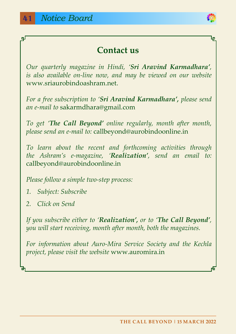டி



### **Contact us**

*Our quarterly magazine in Hindi, 'Sri Aravind Karmadhara', is also available on-line now, and may be viewed on our website*  www.sriaurobindoashram.net.

*For a free subscription to 'Sri Aravind Karmadhara', please send an e-mail to* sakarmdhara@gmail.com

*To get 'The Call Beyond' online regularly, month after month, please send an e-mail to:* callbeyond@aurobindoonline.in

*To learn about the recent and forthcoming activities through the Ashram's e-magazine, 'Realization', send an email to:* callbeyond@aurobindoonline.in

*Please follow a simple two-step process:*

*1. Subject: Subscribe*

*2. Click on Send*

*If you subscribe either to 'Realization', or to 'The Call Beyond', you will start receiving, month after month, both the magazines.*

*For information about Auro-Mira Service Society and the Kechla project, please visit the website* www.auromira.in